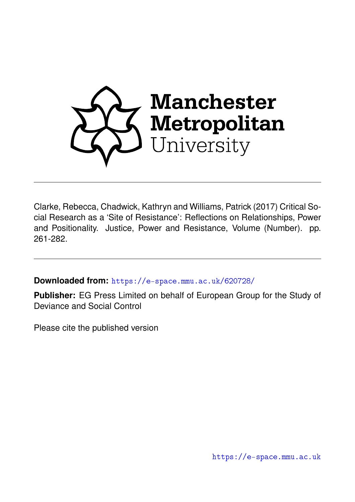

Clarke, Rebecca, Chadwick, Kathryn and Williams, Patrick (2017) Critical Social Research as a 'Site of Resistance': Reflections on Relationships, Power and Positionality. Justice, Power and Resistance, Volume (Number). pp. 261-282.

**Downloaded from:** <https://e-space.mmu.ac.uk/620728/>

**Publisher:** EG Press Limited on behalf of European Group for the Study of Deviance and Social Control

Please cite the published version

<https://e-space.mmu.ac.uk>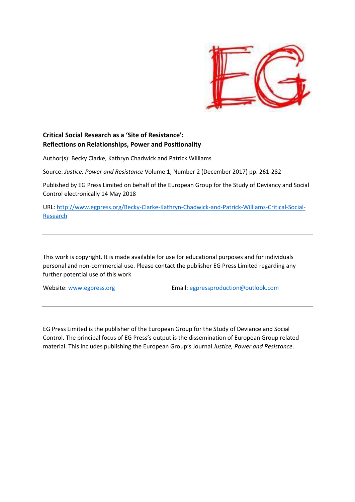

# **Critical Social Research as a 'Site of Resistance': Reflections on Relationships, Power and Positionality**

Author(s): Becky Clarke, Kathryn Chadwick and Patrick Williams

Source: *Justice, Power and Resistance* Volume 1, Number 2 (December 2017) pp. 261-282

Published by EG Press Limited on behalf of the European Group for the Study of Deviancy and Social Control electronically 14 May 2018

URL: http://www.egpress.org/Becky-Clarke-Kathryn-Chadwick-and-Patrick-Williams-Critical-Social-Research

This work is copyright. It is made available for use for educational purposes and for individuals personal and non-commercial use. Please contact the publisher EG Press Limited regarding any further potential use of this work

Website: www.egpress.org Email: egpressproduction@outlook.com

EG Press Limited is the publisher of the European Group for the Study of Deviance and Social Control. The principal focus of EG Press's output is the dissemination of European Group related material. This includes publishing the European Group's Journal *Justice, Power and Resistance*.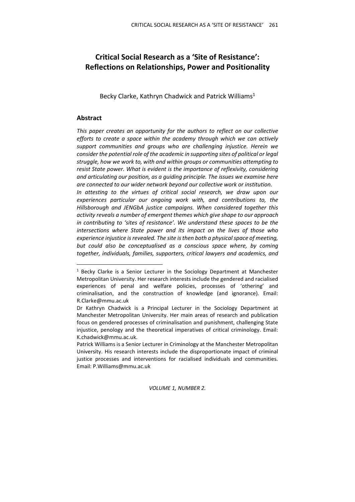# **Critical Social Research as a 'Site of Resistance': Reflections on Relationships, Power and Positionality**

Becky Clarke, Kathryn Chadwick and Patrick Williams<sup>1</sup>

# **Abstract**

l

*This paper creates an opportunity for the authors to reflect on our collective efforts to create a space within the academy through which we can actively support communities and groups who are challenging injustice. Herein we consider the potential role of the academic in supporting sites of political or legal struggle, how we work to, with and within groups or communities attempting to resist State power. What is evident is the importance of reflexivity, considering and articulating our position, as a guiding principle. The issues we examine here are connected to our wider network beyond our collective work or institution. In attesting to the virtues of critical social research, we draw upon our experiences particular our ongoing work with, and contributions to, the Hillsborough and JENGbA justice campaigns. When considered together this activity reveals a number of emergent themes which give shape to our approach in contributing to 'sites of resistance'. We understand these spaces to be the intersections where State power and its impact on the lives of those who experience injustice is revealed. The site is then both a physical space of meeting, but could also be conceptualised as a conscious space where, by coming* 

*together, individuals, families, supporters, critical lawyers and academics, and* 

<sup>&</sup>lt;sup>1</sup> Becky Clarke is a Senior Lecturer in the Sociology Department at Manchester Metropolitan University. Her research interests include the gendered and racialised experiences of penal and welfare policies, processes of 'othering' and criminalisation, and the construction of knowledge (and ignorance). Email: R.Clarke@mmu.ac.uk

Dr Kathryn Chadwick is a Principal Lecturer in the Sociology Department at Manchester Metropolitan University. Her main areas of research and publication focus on gendered processes of criminalisation and punishment, challenging State injustice, penology and the theoretical imperatives of critical criminology. Email: K.chadwick@mmu.ac.uk.

Patrick Williams is a Senior Lecturer in Criminology at the Manchester Metropolitan University. His research interests include the disproportionate impact of criminal justice processes and interventions for racialised individuals and communities. Email: P.Williams@mmu.ac.uk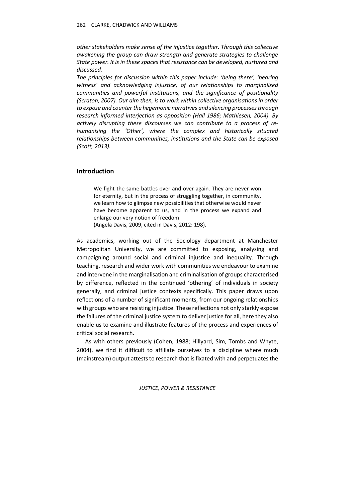*other stakeholders make sense of the injustice together. Through this collective awakening the group can draw strength and generate strategies to challenge State power. It is in these spaces that resistance can be developed, nurtured and discussed.* 

*The principles for discussion within this paper include: 'being there', 'bearing witness' and acknowledging injustice, of our relationships to marginalised communities and powerful institutions, and the significance of positionality (Scraton, 2007). Our aim then, is to work within collective organisations in order to expose and counter the hegemonic narratives and silencing processes through research informed interjection as opposition (Hall 1986; Mathiesen, 2004). By actively disrupting these discourses we can contribute to a process of rehumanising the 'Other', where the complex and historically situated relationships between communities, institutions and the State can be exposed (Scott, 2013).* 

### **Introduction**

We fight the same battles over and over again. They are never won for eternity, but in the process of struggling together, in community, we learn how to glimpse new possibilities that otherwise would never have become apparent to us, and in the process we expand and enlarge our very notion of freedom

(Angela Davis, 2009, cited in Davis, 2012: 198).

As academics, working out of the Sociology department at Manchester Metropolitan University, we are committed to exposing, analysing and campaigning around social and criminal injustice and inequality. Through teaching, research and wider work with communities we endeavour to examine and intervene in the marginalisation and criminalisation of groups characterised by difference, reflected in the continued 'othering' of individuals in society generally, and criminal justice contexts specifically. This paper draws upon reflections of a number of significant moments, from our ongoing relationships with groups who are resisting injustice. These reflections not only starkly expose the failures of the criminal justice system to deliver justice for all, here they also enable us to examine and illustrate features of the process and experiences of critical social research.

As with others previously (Cohen, 1988; Hillyard, Sim, Tombs and Whyte, 2004), we find it difficult to affiliate ourselves to a discipline where much (mainstream) output attests to research that is fixated with and perpetuates the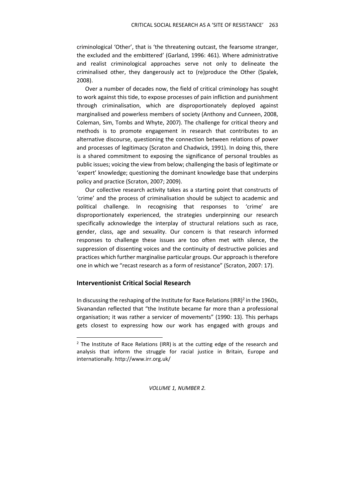criminological 'Other', that is 'the threatening outcast, the fearsome stranger, the excluded and the embittered' (Garland, 1996: 461). Where administrative and realist criminological approaches serve not only to delineate the criminalised other, they dangerously act to (re)produce the Other (Spalek, 2008).

Over a number of decades now, the field of critical criminology has sought to work against this tide, to expose processes of pain infliction and punishment through criminalisation, which are disproportionately deployed against marginalised and powerless members of society (Anthony and Cunneen, 2008, Coleman, Sim, Tombs and Whyte, 2007). The challenge for critical theory and methods is to promote engagement in research that contributes to an alternative discourse, questioning the connection between relations of power and processes of legitimacy (Scraton and Chadwick, 1991). In doing this, there is a shared commitment to exposing the significance of personal troubles as public issues; voicing the view from below; challenging the basis of legitimate or 'expert' knowledge; questioning the dominant knowledge base that underpins policy and practice (Scraton, 2007; 2009).

Our collective research activity takes as a starting point that constructs of 'crime' and the process of criminalisation should be subject to academic and political challenge. In recognising that responses to 'crime' are disproportionately experienced, the strategies underpinning our research specifically acknowledge the interplay of structural relations such as race, gender, class, age and sexuality. Our concern is that research informed responses to challenge these issues are too often met with silence, the suppression of dissenting voices and the continuity of destructive policies and practices which further marginalise particular groups. Our approach is therefore one in which we "recast research as a form of resistance" (Scraton, 2007: 17).

### **Interventionist Critical Social Research**

 $\overline{\phantom{0}}$ 

In discussing the reshaping of the Institute for Race Relations (IRR)<sup>2</sup> in the 1960s, Sivanandan reflected that "the Institute became far more than a professional organisation; it was rather a servicer of movements" (1990: 13). This perhaps gets closest to expressing how our work has engaged with groups and

 $2$  The Institute of Race Relations (IRR) is at the cutting edge of the research and analysis that inform the struggle for racial justice in Britain, Europe and internationally. http://www.irr.org.uk/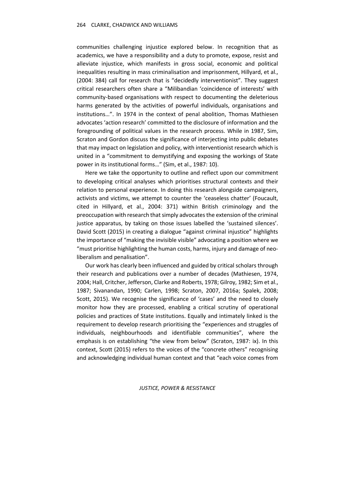communities challenging injustice explored below. In recognition that as academics, we have a responsibility and a duty to promote, expose, resist and alleviate injustice, which manifests in gross social, economic and political inequalities resulting in mass criminalisation and imprisonment, Hillyard, et al., (2004: 384) call for research that is "decidedly interventionist". They suggest critical researchers often share a "Milibandian 'coincidence of interests' with community-based organisations with respect to documenting the deleterious harms generated by the activities of powerful individuals, organisations and institutions…". In 1974 in the context of penal abolition, Thomas Mathiesen advocates 'action research' committed to the disclosure of information and the foregrounding of political values in the research process. While in 1987, Sim, Scraton and Gordon discuss the significance of interjecting into public debates that may impact on legislation and policy, with interventionist research which is united in a "commitment to demystifying and exposing the workings of State power in its institutional forms…" (Sim, et al., 1987: 10).

Here we take the opportunity to outline and reflect upon our commitment to developing critical analyses which prioritises structural contexts and their relation to personal experience. In doing this research alongside campaigners, activists and victims, we attempt to counter the 'ceaseless chatter' (Foucault, cited in Hillyard, et al., 2004: 371) within British criminology and the preoccupation with research that simply advocates the extension of the criminal justice apparatus, by taking on those issues labelled the 'sustained silences'. David Scott (2015) in creating a dialogue "against criminal injustice" highlights the importance of "making the invisible visible" advocating a position where we "must prioritise highlighting the human costs, harms, injury and damage of neoliberalism and penalisation".

Our work has clearly been influenced and guided by critical scholars through their research and publications over a number of decades (Mathiesen, 1974, 2004; Hall, Critcher, Jefferson, Clarke and Roberts, 1978; Gilroy, 1982; Sim et al., 1987; Sivanandan, 1990; Carlen, 1998; Scraton, 2007, 2016a; Spalek, 2008; Scott, 2015). We recognise the significance of 'cases' and the need to closely monitor how they are processed, enabling a critical scrutiny of operational policies and practices of State institutions. Equally and intimately linked is the requirement to develop research prioritising the "experiences and struggles of individuals, neighbourhoods and identifiable communities", where the emphasis is on establishing "the view from below" (Scraton, 1987: ix). In this context, Scott (2015) refers to the voices of the "concrete others" recognising and acknowledging individual human context and that "each voice comes from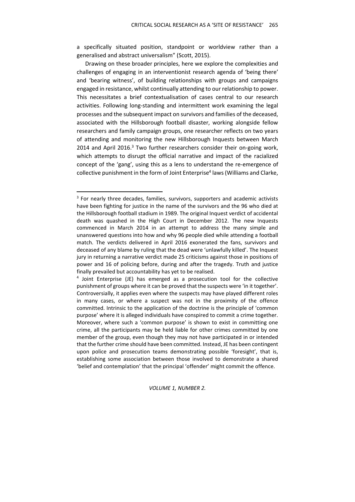a specifically situated position, standpoint or worldview rather than a generalised and abstract universalism" (Scott, 2015).

Drawing on these broader principles, here we explore the complexities and challenges of engaging in an interventionist research agenda of 'being there' and 'bearing witness', of building relationships with groups and campaigns engaged in resistance, whilst continually attending to our relationship to power. This necessitates a brief contextualisation of cases central to our research activities. Following long-standing and intermittent work examining the legal processes and the subsequent impact on survivors and families of the deceased, associated with the Hillsborough football disaster, working alongside fellow researchers and family campaign groups, one researcher reflects on two years of attending and monitoring the new Hillsborough Inquests between March 2014 and April 2016.<sup>3</sup> Two further researchers consider their on-going work, which attempts to disrupt the official narrative and impact of the racialized concept of the 'gang', using this as a lens to understand the re-emergence of collective punishment in the form of Joint Enterprise<sup>4</sup> laws (Williams and Clarke,

 $\overline{a}$ 

<sup>&</sup>lt;sup>3</sup> For nearly three decades, families, survivors, supporters and academic activists have been fighting for justice in the name of the survivors and the 96 who died at the Hillsborough football stadium in 1989. The original Inquest verdict of accidental death was quashed in the High Court in December 2012. The new Inquests commenced in March 2014 in an attempt to address the many simple and unanswered questions into how and why 96 people died while attending a football match. The verdicts delivered in April 2016 exonerated the fans, survivors and deceased of any blame by ruling that the dead were 'unlawfully killed'. The Inquest jury in returning a narrative verdict made 25 criticisms against those in positions of power and 16 of policing before, during and after the tragedy. Truth and justice finally prevailed but accountability has yet to be realised.

<sup>&</sup>lt;sup>4</sup> Joint Enterprise (JE) has emerged as a prosecution tool for the collective punishment of groups where it can be proved that the suspects were 'in it together'. Controversially, it applies even where the suspects may have played different roles in many cases, or where a suspect was not in the proximity of the offence committed. Intrinsic to the application of the doctrine is the principle of 'common purpose' where it is alleged individuals have conspired to commit a crime together. Moreover, where such a 'common purpose' is shown to exist in committing one crime, all the participants may be held liable for other crimes committed by one member of the group, even though they may not have participated in or intended that the further crime should have been committed. Instead, JE has been contingent upon police and prosecution teams demonstrating possible 'foresight', that is, establishing some association between those involved to demonstrate a shared 'belief and contemplation' that the principal 'offender' might commit the offence.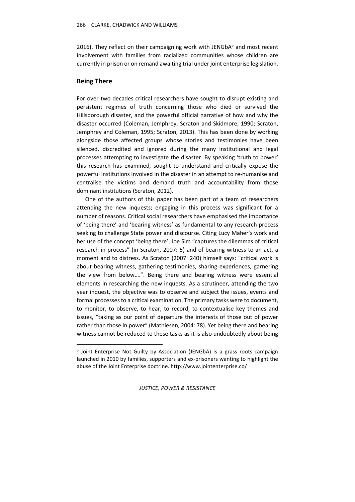2016). They reflect on their campaigning work with JENGbA<sup>5</sup> and most recent involvement with families from racialized communities whose children are currently in prison or on remand awaiting trial under joint enterprise legislation.

## **Being There**

l

For over two decades critical researchers have sought to disrupt existing and persistent regimes of truth concerning those who died or survived the Hillsborough disaster, and the powerful official narrative of how and why the disaster occurred (Coleman, Jemphrey, Scraton and Skidmore, 1990; Scraton, Jemphrey and Coleman, 1995; Scraton, 2013). This has been done by working alongside those affected groups whose stories and testimonies have been silenced, discredited and ignored during the many institutional and legal processes attempting to investigate the disaster. By speaking 'truth to power' this research has examined, sought to understand and critically expose the powerful institutions involved in the disaster in an attempt to re-humanise and centralise the victims and demand truth and accountability from those dominant institutions (Scraton, 2012).

One of the authors of this paper has been part of a team of researchers attending the new inquests; engaging in this process was significant for a number of reasons. Critical social researchers have emphasised the importance of 'being there' and 'bearing witness' as fundamental to any research process seeking to challenge State power and discourse. Citing Lucy Maher's work and her use of the concept 'being there', Joe Sim "captures the dilemmas of critical research in process" (in Scraton, 2007: 5) and of bearing witness to an act, a moment and to distress. As Scraton (2007: 240) himself says: "critical work is about bearing witness, gathering testimonies, sharing experiences, garnering the view from below….". Being there and bearing witness were essential elements in researching the new inquests. As a scrutineer, attending the two year inquest, the objective was to observe and subject the issues, events and formal processes to a critical examination. The primary tasks were to document, to monitor, to observe, to hear, to record, to contextualise key themes and issues, "taking as our point of departure the interests of those out of power rather than those in power" (Mathiesen, 2004: 78). Yet being there and bearing witness cannot be reduced to these tasks as it is also undoubtedly about being

<sup>&</sup>lt;sup>5</sup> Joint Enterprise Not Guilty by Association (JENGbA) is a grass roots campaign launched in 2010 by families, supporters and ex-prisoners wanting to highlight the abuse of the Joint Enterprise doctrine. http://www.jointenterprise.co/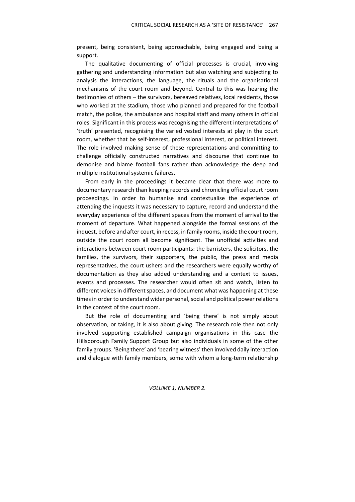present, being consistent, being approachable, being engaged and being a support.

The qualitative documenting of official processes is crucial, involving gathering and understanding information but also watching and subjecting to analysis the interactions, the language, the rituals and the organisational mechanisms of the court room and beyond. Central to this was hearing the testimonies of others – the survivors, bereaved relatives, local residents, those who worked at the stadium, those who planned and prepared for the football match, the police, the ambulance and hospital staff and many others in official roles. Significant in this process was recognising the different interpretations of 'truth' presented, recognising the varied vested interests at play in the court room, whether that be self-interest, professional interest, or political interest. The role involved making sense of these representations and committing to challenge officially constructed narratives and discourse that continue to demonise and blame football fans rather than acknowledge the deep and multiple institutional systemic failures.

From early in the proceedings it became clear that there was more to documentary research than keeping records and chronicling official court room proceedings. In order to humanise and contextualise the experience of attending the inquests it was necessary to capture, record and understand the everyday experience of the different spaces from the moment of arrival to the moment of departure. What happened alongside the formal sessions of the inquest, before and after court, in recess, in family rooms, inside the court room, outside the court room all become significant. The unofficial activities and interactions between court room participants: the barristers, the solicitors, the families, the survivors, their supporters, the public, the press and media representatives, the court ushers and the researchers were equally worthy of documentation as they also added understanding and a context to issues, events and processes. The researcher would often sit and watch, listen to different voices in different spaces, and document what was happening at these times in order to understand wider personal, social and political power relations in the context of the court room.

But the role of documenting and 'being there' is not simply about observation, or taking, it is also about giving. The research role then not only involved supporting established campaign organisations in this case the Hillsborough Family Support Group but also individuals in some of the other family groups. 'Being there' and 'bearing witness' then involved daily interaction and dialogue with family members, some with whom a long-term relationship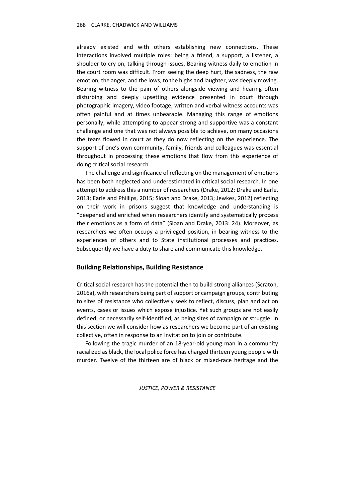already existed and with others establishing new connections. These interactions involved multiple roles: being a friend, a support, a listener, a shoulder to cry on, talking through issues. Bearing witness daily to emotion in the court room was difficult. From seeing the deep hurt, the sadness, the raw emotion, the anger, and the lows, to the highs and laughter, was deeply moving. Bearing witness to the pain of others alongside viewing and hearing often disturbing and deeply upsetting evidence presented in court through photographic imagery, video footage, written and verbal witness accounts was often painful and at times unbearable. Managing this range of emotions personally, while attempting to appear strong and supportive was a constant challenge and one that was not always possible to achieve, on many occasions the tears flowed in court as they do now reflecting on the experience. The support of one's own community, family, friends and colleagues was essential throughout in processing these emotions that flow from this experience of doing critical social research.

The challenge and significance of reflecting on the management of emotions has been both neglected and underestimated in critical social research. In one attempt to address this a number of researchers (Drake, 2012; Drake and Earle, 2013; Earle and Phillips, 2015; Sloan and Drake, 2013; Jewkes, 2012) reflecting on their work in prisons suggest that knowledge and understanding is "deepened and enriched when researchers identify and systematically process their emotions as a form of data" (Sloan and Drake, 2013: 24). Moreover, as researchers we often occupy a privileged position, in bearing witness to the experiences of others and to State institutional processes and practices. Subsequently we have a duty to share and communicate this knowledge.

### **Building Relationships, Building Resistance**

Critical social research has the potential then to build strong alliances (Scraton, 2016a), with researchers being part of support or campaign groups, contributing to sites of resistance who collectively seek to reflect, discuss, plan and act on events, cases or issues which expose injustice. Yet such groups are not easily defined, or necessarily self-identified, as being sites of campaign or struggle. In this section we will consider how as researchers we become part of an existing collective, often in response to an invitation to join or contribute.

Following the tragic murder of an 18-year-old young man in a community racialized as black, the local police force has charged thirteen young people with murder. Twelve of the thirteen are of black or mixed-race heritage and the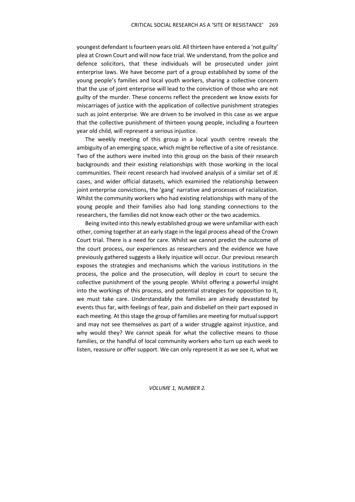youngest defendant is fourteen years old. All thirteen have entered a 'not guilty' plea at Crown Court and will now face trial. We understand, from the police and defence solicitors, that these individuals will be prosecuted under joint enterprise laws. We have become part of a group established by some of the young people's families and local youth workers, sharing a collective concern that the use of joint enterprise will lead to the conviction of those who are not guilty of the murder. These concerns reflect the precedent we know exists for miscarriages of justice with the application of collective punishment strategies such as joint enterprise. We are driven to be involved in this case as we argue that the collective punishment of thirteen young people, including a fourteen year old child, will represent a serious injustice.

The weekly meeting of this group in a local youth centre reveals the ambiguity of an emerging space, which might be reflective of a site of resistance. Two of the authors were invited into this group on the basis of their research backgrounds and their existing relationships with those working in the local communities. Their recent research had involved analysis of a similar set of JE cases, and wider official datasets, which examined the relationship between joint enterprise convictions, the 'gang' narrative and processes of racialization. Whilst the community workers who had existing relationships with many of the young people and their families also had long standing connections to the researchers, the families did not know each other or the two academics.

Being invited into this newly established group we were unfamiliar with each other, coming together at an early stage in the legal process ahead of the Crown Court trial. There is a need for care. Whilst we cannot predict the outcome of the court process, our experiences as researchers and the evidence we have previously gathered suggests a likely injustice will occur. Our previous research exposes the strategies and mechanisms which the various institutions in the process, the police and the prosecution, will deploy in court to secure the collective punishment of the young people. Whilst offering a powerful insight into the workings of this process, and potential strategies for opposition to it, we must take care. Understandably the families are already devastated by events thus far, with feelings of fear, pain and disbelief on their part exposed in each meeting. At this stage the group of families are meeting for mutual support and may not see themselves as part of a wider struggle against injustice, and why would they? We cannot speak for what the collective means to those families, or the handful of local community workers who turn up each week to listen, reassure or offer support. We can only represent it as we see it, what we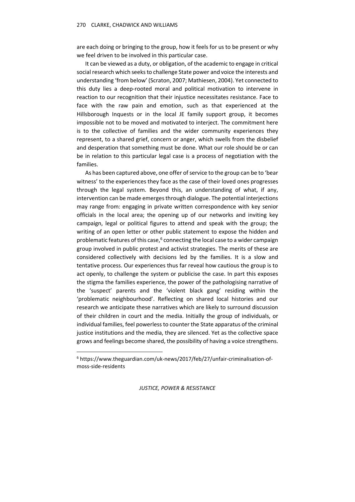are each doing or bringing to the group, how it feels for us to be present or why we feel driven to be involved in this particular case.

It can be viewed as a duty, or obligation, of the academic to engage in critical social research which seeks to challenge State power and voice the interests and understanding 'from below' (Scraton, 2007; Mathiesen, 2004). Yet connected to this duty lies a deep-rooted moral and political motivation to intervene in reaction to our recognition that their injustice necessitates resistance. Face to face with the raw pain and emotion, such as that experienced at the Hillsborough Inquests or in the local JE family support group, it becomes impossible not to be moved and motivated to interject. The commitment here is to the collective of families and the wider community experiences they represent, to a shared grief, concern or anger, which swells from the disbelief and desperation that something must be done. What our role should be or can be in relation to this particular legal case is a process of negotiation with the families.

As has been captured above, one offer of service to the group can be to 'bear witness' to the experiences they face as the case of their loved ones progresses through the legal system. Beyond this, an understanding of what, if any, intervention can be made emerges through dialogue. The potential interjections may range from: engaging in private written correspondence with key senior officials in the local area; the opening up of our networks and inviting key campaign, legal or political figures to attend and speak with the group; the writing of an open letter or other public statement to expose the hidden and problematic features of this case,<sup>6</sup> connecting the local case to a wider campaign group involved in public protest and activist strategies. The merits of these are considered collectively with decisions led by the families. It is a slow and tentative process. Our experiences thus far reveal how cautious the group is to act openly, to challenge the system or publicise the case. In part this exposes the stigma the families experience, the power of the pathologising narrative of the 'suspect' parents and the 'violent black gang' residing within the 'problematic neighbourhood'. Reflecting on shared local histories and our research we anticipate these narratives which are likely to surround discussion of their children in court and the media. Initially the group of individuals, or individual families, feel powerless to counter the State apparatus of the criminal justice institutions and the media, they are silenced. Yet as the collective space grows and feelings become shared, the possibility of having a voice strengthens.

 $\overline{\phantom{0}}$ 

<sup>6</sup> https://www.theguardian.com/uk-news/2017/feb/27/unfair-criminalisation-ofmoss-side-residents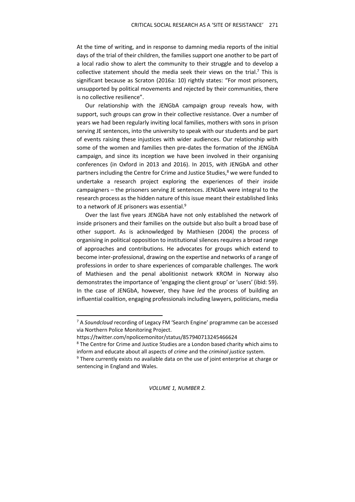At the time of writing, and in response to damning media reports of the initial days of the trial of their children, the families support one another to be part of a local radio show to alert the community to their struggle and to develop a collective statement should the media seek their views on the trial.<sup>7</sup> This is significant because as Scraton (2016a: 10) rightly states: "For most prisoners, unsupported by political movements and rejected by their communities, there is no collective resilience".

Our relationship with the JENGbA campaign group reveals how, with support, such groups can grow in their collective resistance. Over a number of years we had been regularly inviting local families, mothers with sons in prison serving JE sentences, into the university to speak with our students and be part of events raising these injustices with wider audiences. Our relationship with some of the women and families then pre-dates the formation of the JENGbA campaign, and since its inception we have been involved in their organising conferences (in Oxford in 2013 and 2016). In 2015, with JENGbA and other partners including the Centre for Crime and Justice Studies,<sup>8</sup> we were funded to undertake a research project exploring the experiences of their inside campaigners – the prisoners serving JE sentences. JENGbA were integral to the research process as the hidden nature of this issue meant their established links to a network of JE prisoners was essential.<sup>9</sup>

Over the last five years JENGbA have not only established the network of inside prisoners and their families on the outside but also built a broad base of other support. As is acknowledged by Mathiesen (2004) the process of organising in political opposition to institutional silences requires a broad range of approaches and contributions. He advocates for groups which extend to become inter-professional, drawing on the expertise and networks of a range of professions in order to share experiences of comparable challenges. The work of Mathiesen and the penal abolitionist network KROM in Norway also demonstrates the importance of 'engaging the client group' or 'users' (ibid: 59). In the case of JENGbA, however, they have *led* the process of building an influential coalition, engaging professionals including lawyers, politicians, media

l

<sup>&</sup>lt;sup>7</sup> A Soundcloud recording of Legacy FM 'Search Engine' programme can be accessed via Northern Police Monitoring Project.

https://twitter.com/npolicemonitor/status/857940713245466624

<sup>&</sup>lt;sup>8</sup> The Centre for Crime and Justice Studies are a London based charity which aims to inform and educate about all aspects of *crime* and the *criminal justice* system.

<sup>&</sup>lt;sup>9</sup> There currently exists no available data on the use of joint enterprise at charge or sentencing in England and Wales.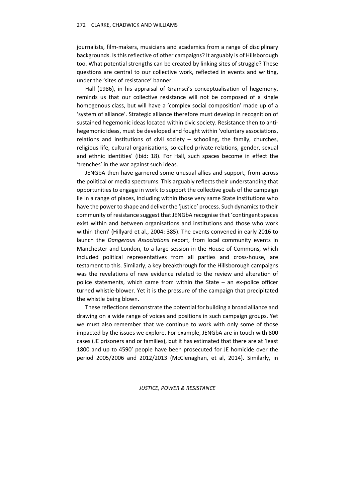journalists, film-makers, musicians and academics from a range of disciplinary backgrounds. Is this reflective of other campaigns? It arguably is of Hillsborough too. What potential strengths can be created by linking sites of struggle? These questions are central to our collective work, reflected in events and writing, under the 'sites of resistance' banner.

Hall (1986), in his appraisal of Gramsci's conceptualisation of hegemony, reminds us that our collective resistance will not be composed of a single homogenous class, but will have a 'complex social composition' made up of a 'system of alliance'. Strategic alliance therefore must develop in recognition of sustained hegemonic ideas located within civic society. Resistance then to antihegemonic ideas, must be developed and fought within 'voluntary associations, relations and institutions of civil society – schooling, the family, churches, religious life, cultural organisations, so-called private relations, gender, sexual and ethnic identities' (ibid: 18). For Hall, such spaces become in effect the 'trenches' in the war against such ideas.

JENGbA then have garnered some unusual allies and support, from across the political or media spectrums. This arguably reflects their understanding that opportunities to engage in work to support the collective goals of the campaign lie in a range of places, including within those very same State institutions who have the power to shape and deliver the 'justice' process. Such dynamics to their community of resistance suggest that JENGbA recognise that 'contingent spaces exist within and between organisations and institutions and those who work within them' (Hillyard et al., 2004: 385). The events convened in early 2016 to launch the *Dangerous Associations* report, from local community events in Manchester and London, to a large session in the House of Commons, which included political representatives from all parties and cross-house, are testament to this. Similarly, a key breakthrough for the Hillsborough campaigns was the revelations of new evidence related to the review and alteration of police statements, which came from within the State – an ex-police officer turned whistle-blower. Yet it is the pressure of the campaign that precipitated the whistle being blown.

These reflections demonstrate the potential for building a broad alliance and drawing on a wide range of voices and positions in such campaign groups. Yet we must also remember that we continue to work with only some of those impacted by the issues we explore. For example, JENGbA are in touch with 800 cases (JE prisoners and or families), but it has estimated that there are at 'least 1800 and up to 4590' people have been prosecuted for JE homicide over the period 2005/2006 and 2012/2013 (McClenaghan, et al, 2014). Similarly, in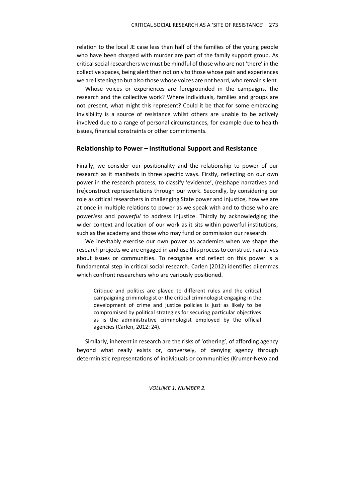relation to the local JE case less than half of the families of the young people who have been charged with murder are part of the family support group. As critical social researchers we must be mindful of those who are not 'there' in the collective spaces, being alert then not only to those whose pain and experiences we are listening to but also those whose voices are not heard, who remain silent.

Whose voices or experiences are foregrounded in the campaigns, the research and the collective work? Where individuals, families and groups are not present, what might this represent? Could it be that for some embracing invisibility is a source of resistance whilst others are unable to be actively involved due to a range of personal circumstances, for example due to health issues, financial constraints or other commitments.

### **Relationship to Power – Institutional Support and Resistance**

Finally, we consider our positionality and the relationship to power of our research as it manifests in three specific ways. Firstly, reflecting on our own power in the research process, to classify 'evidence', (re)shape narratives and (re)construct representations through our work. Secondly, by considering our role as critical researchers in challenging State power and injustice, how we are at once in multiple relations to power as we speak with and to those who are power*less* and power*ful* to address injustice. Thirdly by acknowledging the wider context and location of our work as it sits within powerful institutions, such as the academy and those who may fund or commission our research.

We inevitably exercise our own power as academics when we shape the research projects we are engaged in and use this process to construct narratives about issues or communities. To recognise and reflect on this power is a fundamental step in critical social research. Carlen (2012) identifies dilemmas which confront researchers who are variously positioned.

Critique and politics are played to different rules and the critical campaigning criminologist or the critical criminologist engaging in the development of crime and justice policies is just as likely to be compromised by political strategies for securing particular objectives as is the administrative criminologist employed by the official agencies (Carlen, 2012: 24).

Similarly, inherent in research are the risks of 'othering', of affording agency beyond what really exists or, conversely, of denying agency through deterministic representations of individuals or communities (Krumer-Nevo and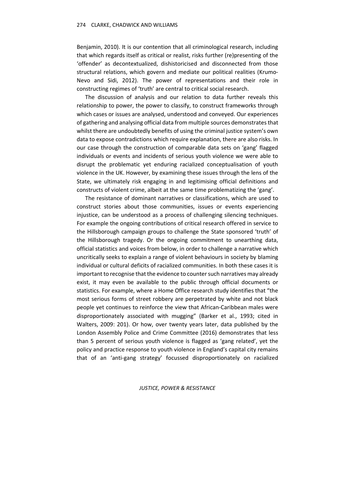Benjamin, 2010). It is our contention that all criminological research, including that which regards itself as critical or realist, risks further (re)presenting of the 'offender' as decontextualized, dishistoricised and disconnected from those structural relations, which govern and mediate our political realities (Krumo-Nevo and Sidi, 2012). The power of representations and their role in constructing regimes of 'truth' are central to critical social research.

The discussion of analysis and our relation to data further reveals this relationship to power, the power to classify, to construct frameworks through which cases or issues are analysed, understood and conveyed. Our experiences of gathering and analysing official data from multiple sources demonstrates that whilst there are undoubtedly benefits of using the criminal justice system's own data to expose contradictions which require explanation, there are also risks. In our case through the construction of comparable data sets on 'gang' flagged individuals or events and incidents of serious youth violence we were able to disrupt the problematic yet enduring racialized conceptualisation of youth violence in the UK. However, by examining these issues through the lens of the State, we ultimately risk engaging in and legitimising official definitions and constructs of violent crime, albeit at the same time problematizing the 'gang'.

The resistance of dominant narratives or classifications, which are used to construct stories about those communities, issues or events experiencing injustice, can be understood as a process of challenging silencing techniques. For example the ongoing contributions of critical research offered in service to the Hillsborough campaign groups to challenge the State sponsored 'truth' of the Hillsborough tragedy. Or the ongoing commitment to unearthing data, official statistics and voices from below, in order to challenge a narrative which uncritically seeks to explain a range of violent behaviours in society by blaming individual or cultural deficits of racialized communities. In both these cases it is important to recognise that the evidence to counter such narratives may already exist, it may even be available to the public through official documents or statistics. For example, where a Home Office research study identifies that "the most serious forms of street robbery are perpetrated by white and not black people yet continues to reinforce the view that African-Caribbean males were disproportionately associated with mugging" (Barker et al., 1993; cited in Walters, 2009: 201). Or how, over twenty years later, data published by the London Assembly Police and Crime Committee (2016) demonstrates that less than 5 percent of serious youth violence is flagged as 'gang related', yet the policy and practice response to youth violence in England's capital city remains that of an 'anti-gang strategy' focussed disproportionately on racialized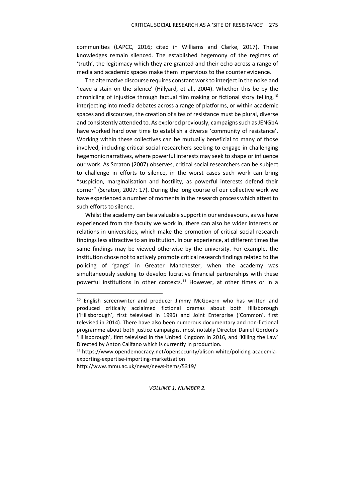communities (LAPCC, 2016; cited in Williams and Clarke, 2017). These knowledges remain silenced. The established hegemony of the regimes of 'truth', the legitimacy which they are granted and their echo across a range of media and academic spaces make them impervious to the counter evidence.

The alternative discourse requires constant work to interject in the noise and 'leave a stain on the silence' (Hillyard, et al., 2004). Whether this be by the chronicling of injustice through factual film making or fictional story telling,<sup>10</sup> interjecting into media debates across a range of platforms, or within academic spaces and discourses, the creation of sites of resistance must be plural, diverse and consistently attended to. As explored previously, campaigns such as JENGbA have worked hard over time to establish a diverse 'community of resistance'. Working within these collectives can be mutually beneficial to many of those involved, including critical social researchers seeking to engage in challenging hegemonic narratives, where powerful interests may seek to shape or influence our work. As Scraton (2007) observes, critical social researchers can be subject to challenge in efforts to silence, in the worst cases such work can bring "suspicion, marginalisation and hostility, as powerful interests defend their corner" (Scraton, 2007: 17). During the long course of our collective work we have experienced a number of moments in the research process which attest to such efforts to silence.

Whilst the academy can be a valuable support in our endeavours, as we have experienced from the faculty we work in, there can also be wider interests or relations in universities, which make the promotion of critical social research findings less attractive to an institution. In our experience, at different times the same findings may be viewed otherwise by the university. For example, the institution chose not to actively promote critical research findings related to the policing of 'gangs' in Greater Manchester, when the academy was simultaneously seeking to develop lucrative financial partnerships with these powerful institutions in other contexts.<sup>11</sup> However, at other times or in a

l

<sup>&</sup>lt;sup>10</sup> English screenwriter and producer Jimmy McGovern who has written and produced critically acclaimed fictional dramas about both Hillsborough ('Hillsborough', first televised in 1996) and Joint Enterprise ('Common', first televised in 2014). There have also been numerous documentary and non-fictional programme about both justice campaigns, most notably Director Daniel Gordon's 'Hillsborough', first televised in the United Kingdom in 2016, and 'Killing the Law' Directed by Anton Califano which is currently in production.

<sup>11</sup> https://www.opendemocracy.net/opensecurity/alison-white/policing-academiaexporting-expertise-importing-marketisation

http://www.mmu.ac.uk/news/news-items/5319/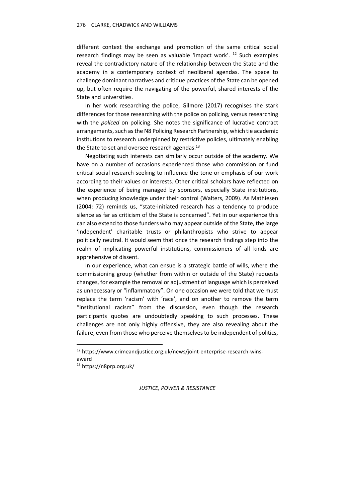#### 276 CLARKE, CHADWICK AND WILLIAMS

different context the exchange and promotion of the same critical social research findings may be seen as valuable 'impact work'. <sup>12</sup> Such examples reveal the contradictory nature of the relationship between the State and the academy in a contemporary context of neoliberal agendas. The space to challenge dominant narratives and critique practices of the State can be opened up, but often require the navigating of the powerful, shared interests of the State and universities.

In her work researching the police, Gilmore (2017) recognises the stark differences for those researching with the police on policing, versus researching with the *policed* on policing. She notes the significance of lucrative contract arrangements, such as the N8 Policing Research Partnership, which tie academic institutions to research underpinned by restrictive policies, ultimately enabling the State to set and oversee research agendas. $^{13}$ 

Negotiating such interests can similarly occur outside of the academy. We have on a number of occasions experienced those who commission or fund critical social research seeking to influence the tone or emphasis of our work according to their values or interests. Other critical scholars have reflected on the experience of being managed by sponsors, especially State institutions, when producing knowledge under their control (Walters, 2009). As Mathiesen (2004: 72) reminds us, "state-initiated research has a tendency to produce silence as far as criticism of the State is concerned". Yet in our experience this can also extend to those funders who may appear outside of the State, the large 'independent' charitable trusts or philanthropists who strive to appear politically neutral. It would seem that once the research findings step into the realm of implicating powerful institutions, commissioners of all kinds are apprehensive of dissent.

In our experience, what can ensue is a strategic battle of wills, where the commissioning group (whether from within or outside of the State) requests changes, for example the removal or adjustment of language which is perceived as unnecessary or "inflammatory". On one occasion we were told that we must replace the term 'racism' with 'race', and on another to remove the term "institutional racism" from the discussion, even though the research participants quotes are undoubtedly speaking to such processes. These challenges are not only highly offensive, they are also revealing about the failure, even from those who perceive themselves to be independent of politics,

l

<sup>12</sup> https://www.crimeandjustice.org.uk/news/joint-enterprise-research-winsaward

<sup>13</sup> https://n8prp.org.uk/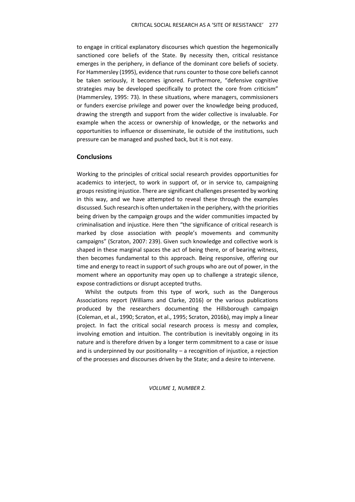to engage in critical explanatory discourses which question the hegemonically sanctioned core beliefs of the State. By necessity then, critical resistance emerges in the periphery, in defiance of the dominant core beliefs of society. For Hammersley (1995), evidence that runs counter to those core beliefs cannot be taken seriously, it becomes ignored. Furthermore, "defensive cognitive strategies may be developed specifically to protect the core from criticism" (Hammersley, 1995: 73). In these situations, where managers, commissioners or funders exercise privilege and power over the knowledge being produced, drawing the strength and support from the wider collective is invaluable. For example when the access or ownership of knowledge, or the networks and opportunities to influence or disseminate, lie outside of the institutions, such pressure can be managed and pushed back, but it is not easy.

#### **Conclusions**

Working to the principles of critical social research provides opportunities for academics to interject, to work in support of, or in service to, campaigning groups resisting injustice. There are significant challenges presented by working in this way, and we have attempted to reveal these through the examples discussed. Such research is often undertaken in the periphery, with the priorities being driven by the campaign groups and the wider communities impacted by criminalisation and injustice. Here then "the significance of critical research is marked by close association with people's movements and community campaigns" (Scraton, 2007: 239). Given such knowledge and collective work is shaped in these marginal spaces the act of being there, or of bearing witness, then becomes fundamental to this approach. Being responsive, offering our time and energy to react in support of such groups who are out of power, in the moment where an opportunity may open up to challenge a strategic silence, expose contradictions or disrupt accepted truths.

Whilst the outputs from this type of work, such as the Dangerous Associations report (Williams and Clarke, 2016) or the various publications produced by the researchers documenting the Hillsborough campaign (Coleman, et al., 1990; Scraton, et al., 1995; Scraton, 2016b), may imply a linear project. In fact the critical social research process is messy and complex, involving emotion and intuition. The contribution is inevitably ongoing in its nature and is therefore driven by a longer term commitment to a case or issue and is underpinned by our positionality – a recognition of injustice, a rejection of the processes and discourses driven by the State; and a desire to intervene.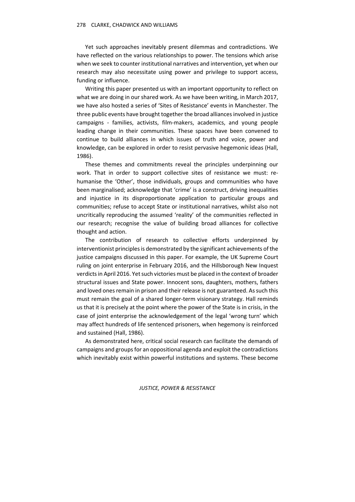Yet such approaches inevitably present dilemmas and contradictions. We have reflected on the various relationships to power. The tensions which arise when we seek to counter institutional narratives and intervention, yet when our research may also necessitate using power and privilege to support access, funding or influence.

Writing this paper presented us with an important opportunity to reflect on what we are doing in our shared work. As we have been writing, in March 2017, we have also hosted a series of 'Sites of Resistance' events in Manchester. The three public events have brought together the broad alliances involved in justice campaigns - families, activists, film-makers, academics, and young people leading change in their communities. These spaces have been convened to continue to build alliances in which issues of truth and voice, power and knowledge, can be explored in order to resist pervasive hegemonic ideas (Hall, 1986).

These themes and commitments reveal the principles underpinning our work. That in order to support collective sites of resistance we must: rehumanise the 'Other', those individuals, groups and communities who have been marginalised; acknowledge that 'crime' is a construct, driving inequalities and injustice in its disproportionate application to particular groups and communities; refuse to accept State or institutional narratives, whilst also not uncritically reproducing the assumed 'reality' of the communities reflected in our research; recognise the value of building broad alliances for collective thought and action.

The contribution of research to collective efforts underpinned by interventionist principles is demonstrated by the significant achievements of the justice campaigns discussed in this paper. For example, the UK Supreme Court ruling on joint enterprise in February 2016, and the Hillsborough New Inquest verdicts in April 2016. Yet such victories must be placed in the context of broader structural issues and State power. Innocent sons, daughters, mothers, fathers and loved ones remain in prison and their release is not guaranteed. As such this must remain the goal of a shared longer-term visionary strategy. Hall reminds us that it is precisely at the point where the power of the State is in crisis, in the case of joint enterprise the acknowledgement of the legal 'wrong turn' which may affect hundreds of life sentenced prisoners, when hegemony is reinforced and sustained (Hall, 1986).

As demonstrated here, critical social research can facilitate the demands of campaigns and groups for an oppositional agenda and exploit the contradictions which inevitably exist within powerful institutions and systems. These become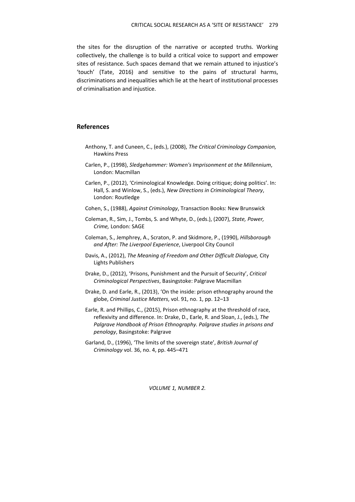the sites for the disruption of the narrative or accepted truths. Working collectively, the challenge is to build a critical voice to support and empower sites of resistance. Such spaces demand that we remain attuned to injustice's 'touch' (Tate, 2016) and sensitive to the pains of structural harms, discriminations and inequalities which lie at the heart of institutional processes of criminalisation and injustice.

## **References**

- Anthony, T. and Cuneen, C., (eds.), (2008), *The Critical Criminology Companion,* Hawkins Press
- Carlen, P., (1998), *Sledgehammer: Women's Imprisonment at the Millennium*, London: Macmillan
- Carlen, P., (2012), 'Criminological Knowledge. Doing critique; doing politics'. In: Hall, S. and Winlow, S., (eds.), *New Directions in Criminological Theory*, London: Routledge
- Cohen, S., (1988), *Against Criminology*, Transaction Books: New Brunswick
- Coleman, R., Sim, J., Tombs, S. and Whyte, D., (eds.), (2007), *State, Power, Crime,* London: SAGE
- Coleman, S., Jemphrey, A., Scraton, P. and Skidmore, P., (1990), *Hillsborough and After: The Liverpool Experience*, Liverpool City Council
- Davis, A., (2012), *The Meaning of Freedom and Other Difficult Dialogue,* City Lights Publishers
- Drake, D., (2012), 'Prisons, Punishment and the Pursuit of Security', *Critical Criminological Perspectives*, Basingstoke: Palgrave Macmillan
- Drake, D. and Earle, R., (2013), 'On the inside: prison ethnography around the globe, *Criminal Justice Matters*, vol. 91, no. 1, pp. 12–13
- Earle, R. and Phillips, C., (2015), Prison ethnography at the threshold of race, reflexivity and difference. In: Drake, D., Earle, R. and Sloan, J., (eds.), *The Palgrave Handbook of Prison Ethnography. Palgrave studies in prisons and penology*, Basingstoke: Palgrave
- Garland, D., (1996), 'The limits of the sovereign state', *British Journal of Criminology* vol. 36, no. 4, pp. 445–471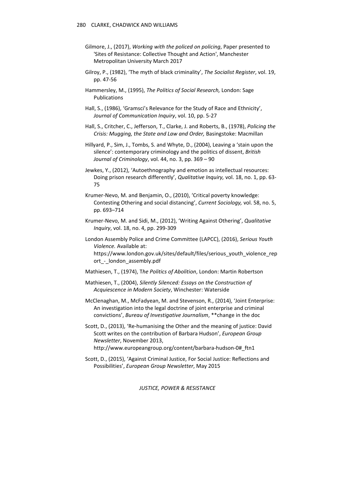- Gilmore, J., (2017), *Working with the policed on policing*, Paper presented to 'Sites of Resistance: Collective Thought and Action', Manchester Metropolitan University March 2017
- Gilroy, P., (1982), 'The myth of black criminality', *The Socialist Register*, vol. 19, pp. 47-56
- Hammersley, M., (1995), *The Politics of Social Research,* London: Sage Publications
- Hall, S., (1986), 'Gramsci's Relevance for the Study of Race and Ethnicity', *Journal of Communication Inquiry*, vol. 10, pp. 5-27
- Hall, S., Critcher, C., Jefferson, T., Clarke, J. and Roberts, B., (1978), *Policing the Crisis: Mugging, the State and Law and Order,* Basingstoke: Macmillan
- Hillyard, P., Sim, J., Tombs, S. and Whyte, D., (2004), Leaving a 'stain upon the silence': contemporary criminology and the politics of dissent, *British Journal of Criminology*, vol. 44, no. 3, pp. 369 – 90
- Jewkes, Y., (2012), 'Autoethnography and emotion as intellectual resources: Doing prison research differently', *Qualitative Inquiry,* vol. 18, no. 1, pp. 63- 75
- Krumer-Nevo, M. and Benjamin, O., (2010), 'Critical poverty knowledge: Contesting Othering and social distancing', *Current Sociology,* vol. 58, no. 5, pp. 693–714
- Krumer-Nevo, M. and Sidi, M., (2012), 'Writing Against Othering', *Qualitative Inquiry*, vol. 18, no. 4, pp. 299-309
- London Assembly Police and Crime Committee (LAPCC), (2016), *Serious Youth Violence.* Available at: https://www.london.gov.uk/sites/default/files/serious\_youth\_violence\_rep ort - london assembly.pdf
- Mathiesen, T., (1974), T*he Politics of Abolition*, London: Martin Robertson
- Mathiesen, T., (2004), *Silently Silenced: Essays on the Construction of Acquiescence in Modern Society*, Winchester: Waterside
- McClenaghan, M., McFadyean, M. and Stevenson, R., (2014), 'Joint Enterprise: An investigation into the legal doctrine of joint enterprise and criminal convictions', *Bureau of Investigative Journalism*, \*\*change in the doc
- Scott, D., (2013), 'Re-humanising the Other and the meaning of justice: David Scott writes on the contribution of Barbara Hudson', *European Group Newsletter*, November 2013, http://www.europeangroup.org/content/barbara-hudson-0#\_ftn1
- Scott, D., (2015), 'Against Criminal Justice, For Social Justice: Reflections and Possibilities', *European Group Newsletter*, May 2015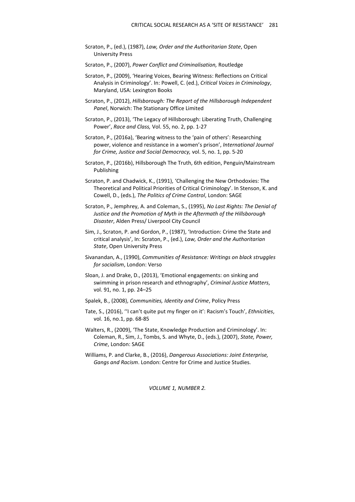- Scraton, P., (ed.), (1987), *Law, Order and the Authoritarian State*, Open University Press
- Scraton, P., (2007), *Power Conflict and Criminalisation,* Routledge
- Scraton, P., (2009), 'Hearing Voices, Bearing Witness: Reflections on Critical Analysis in Criminology'. In: Powell, C. (ed.), *Critical Voices in Criminology*, Maryland, USA: Lexington Books
- Scraton, P., (2012), *Hillsborough: The Report of the Hillsborough Independent Panel*, Norwich: The Stationary Office Limited
- Scraton, P., (2013), 'The Legacy of Hillsborough: Liberating Truth, Challenging Power', *Race and Class,* Vol. 55, no. 2, pp. 1-27
- Scraton, P., (2016a), 'Bearing witness to the 'pain of others': Researching power, violence and resistance in a women's prison', *International Journal for Crime, Justice and Social Democracy,* vol. 5, no. 1, pp. 5-20
- Scraton, P., (2016b), Hillsborough The Truth, 6th edition, Penguin/Mainstream Publishing
- Scraton, P. and Chadwick, K., (1991), 'Challenging the New Orthodoxies: The Theoretical and Political Priorities of Critical Criminology'. In Stenson, K. and Cowell, D., (eds.), *The Politics of Crime Control*, London: SAGE
- Scraton, P., Jemphrey, A. and Coleman, S., (1995), *No Last Rights: The Denial of Justice and the Promotion of Myth in the Aftermath of the Hillsborough Disaster*, Alden Press/ Liverpool City Council
- Sim, J., Scraton, P. and Gordon, P., (1987), 'Introduction: Crime the State and critical analysis', In: Scraton, P., (ed.), *Law, Order and the Authoritarian State*, Open University Press
- Sivanandan, A., (1990), *Communities of Resistance: Writings on black struggles for socialism*, London: Verso
- Sloan, J. and Drake, D., (2013), 'Emotional engagements: on sinking and swimming in prison research and ethnography', *Criminal Justice Matters*, vol. 91, no. 1, pp. 24–25
- Spalek, B., (2008), *Communities, Identity and Crime*, Policy Press
- Tate, S., (2016), ''I can't quite put my finger on it': Racism's Touch', *Ethnicities*, vol. 16, no.1, pp. 68-85
- Walters, R., (2009), 'The State, Knowledge Production and Criminology'. In: Coleman, R., Sim, J., Tombs, S. and Whyte, D., (eds.), (2007), *State, Power, Crime*, London: SAGE
- Williams, P. and Clarke, B., (2016), *Dangerous Associations: Joint Enterprise, Gangs and Racism*. London: Centre for Crime and Justice Studies.